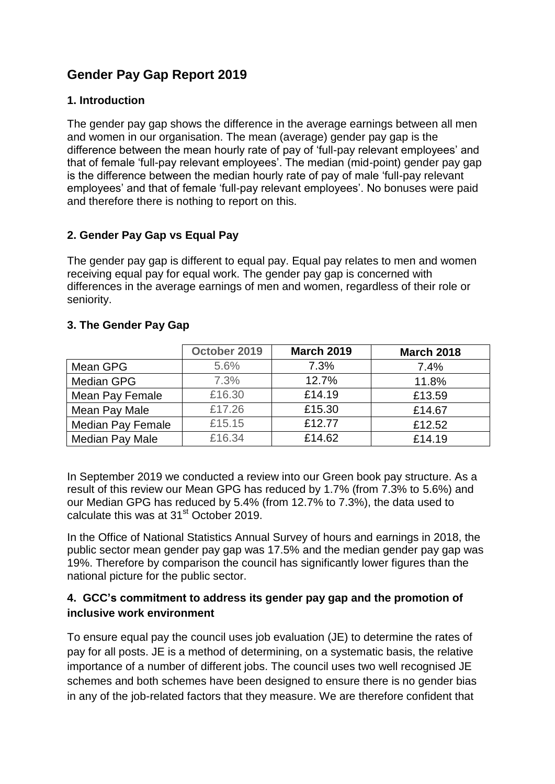# **Gender Pay Gap Report 2019**

# **1. Introduction**

The gender pay gap shows the difference in the average earnings between all men and women in our organisation. The mean (average) gender pay gap is the difference between the mean hourly rate of pay of 'full-pay relevant employees' and that of female 'full-pay relevant employees'. The median (mid-point) gender pay gap is the difference between the median hourly rate of pay of male 'full-pay relevant employees' and that of female 'full-pay relevant employees'. No bonuses were paid and therefore there is nothing to report on this.

# **2. Gender Pay Gap vs Equal Pay**

The gender pay gap is different to equal pay. Equal pay relates to men and women receiving equal pay for equal work. The gender pay gap is concerned with differences in the average earnings of men and women, regardless of their role or seniority.

# **3. The Gender Pay Gap**

|                          | October 2019 | <b>March 2019</b> | <b>March 2018</b> |
|--------------------------|--------------|-------------------|-------------------|
| Mean GPG                 | 5.6%         | 7.3%              | 7.4%              |
| Median GPG               | 7.3%         | 12.7%             | 11.8%             |
| Mean Pay Female          | £16.30       | £14.19            | £13.59            |
| Mean Pay Male            | £17.26       | £15.30            | £14.67            |
| <b>Median Pay Female</b> | £15.15       | £12.77            | £12.52            |
| Median Pay Male          | £16.34       | £14.62            | £14.19            |

In September 2019 we conducted a review into our Green book pay structure. As a result of this review our Mean GPG has reduced by 1.7% (from 7.3% to 5.6%) and our Median GPG has reduced by 5.4% (from 12.7% to 7.3%), the data used to calculate this was at 31<sup>st</sup> October 2019.

In the Office of National Statistics Annual Survey of hours and earnings in 2018, the public sector mean gender pay gap was 17.5% and the median gender pay gap was 19%. Therefore by comparison the council has significantly lower figures than the national picture for the public sector.

# **4. GCC's commitment to address its gender pay gap and the promotion of inclusive work environment**

To ensure equal pay the council uses job evaluation (JE) to determine the rates of pay for all posts. JE is a method of determining, on a systematic basis, the relative importance of a number of different jobs. The council uses two well recognised JE schemes and both schemes have been designed to ensure there is no gender bias in any of the job-related factors that they measure. We are therefore confident that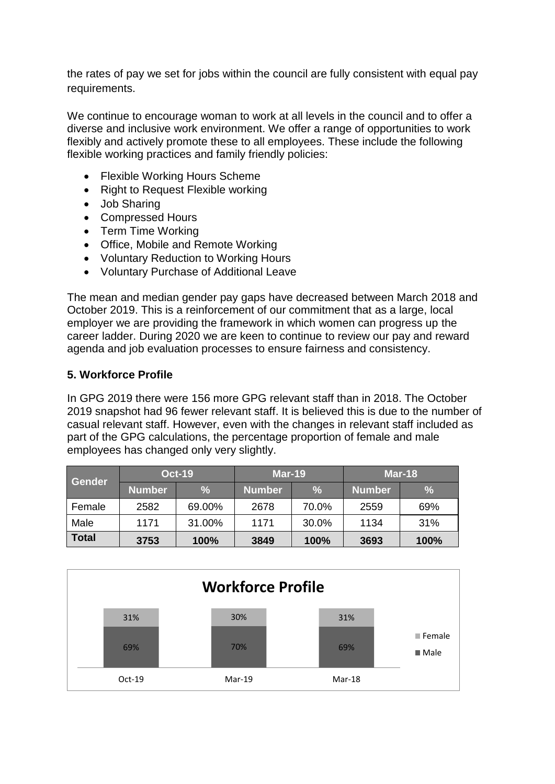the rates of pay we set for jobs within the council are fully consistent with equal pay requirements.

We continue to encourage woman to work at all levels in the council and to offer a diverse and inclusive work environment. We offer a range of opportunities to work flexibly and actively promote these to all employees. These include the following flexible working practices and family friendly policies:

- Flexible Working Hours Scheme
- Right to Request Flexible working
- Job Sharing
- Compressed Hours
- Term Time Working
- Office, Mobile and Remote Working
- Voluntary Reduction to Working Hours
- Voluntary Purchase of Additional Leave

The mean and median gender pay gaps have decreased between March 2018 and October 2019. This is a reinforcement of our commitment that as a large, local employer we are providing the framework in which women can progress up the career ladder. During 2020 we are keen to continue to review our pay and reward agenda and job evaluation processes to ensure fairness and consistency.

#### **5. Workforce Profile**

In GPG 2019 there were 156 more GPG relevant staff than in 2018. The October 2019 snapshot had 96 fewer relevant staff. It is believed this is due to the number of casual relevant staff. However, even with the changes in relevant staff included as part of the GPG calculations, the percentage proportion of female and male employees has changed only very slightly.

| Gender       | <b>Oct-19</b> |               | $Mar-19$      |               | <b>Mar-18</b> |      |  |
|--------------|---------------|---------------|---------------|---------------|---------------|------|--|
|              | <b>Number</b> | $\frac{9}{6}$ | <b>Number</b> | $\frac{9}{6}$ | <b>Number</b> | %    |  |
| Female       | 2582          | 69.00%        | 2678          | 70.0%         | 2559          | 69%  |  |
| Male         | 1171          | 31.00%        | 1171          | 30.0%         | 1134          | 31%  |  |
| <b>Total</b> | 100%<br>3753  |               | 3849          | 100%          | 3693          | 100% |  |

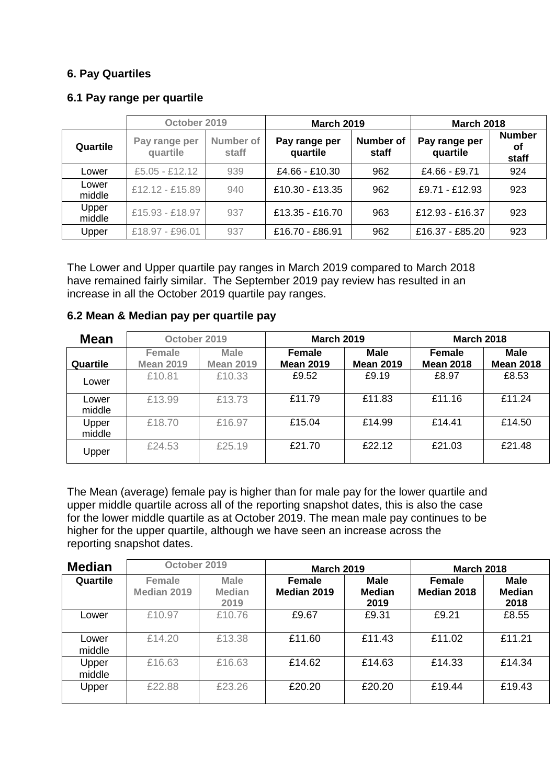#### **6. Pay Quartiles**

#### **6.1 Pay range per quartile**

|                 | October 2019              |                    | <b>March 2019</b>         |                           | <b>March 2018</b>         |                              |  |
|-----------------|---------------------------|--------------------|---------------------------|---------------------------|---------------------------|------------------------------|--|
| Quartile        | Pay range per<br>quartile | Number of<br>staff | Pay range per<br>quartile | <b>Number of</b><br>staff | Pay range per<br>quartile | <b>Number</b><br>οf<br>staff |  |
| Lower           | $£5.05 - £12.12$          | 939                | £4.66 - £10.30            | 962                       | £4.66 - £9.71             | 924                          |  |
| Lower<br>middle | £12.12 - £15.89           | 940                | £10.30 - £13.35           | 962                       | £9.71 - £12.93            | 923                          |  |
| Upper<br>middle | £15.93 - £18.97           | 937                | £13.35 - £16.70           | 963                       | £12.93 - £16.37           | 923                          |  |
| Upper           | £18.97 - £96.01           | 937                | £16.70 - £86.91           | 962                       | £16.37 - £85.20           | 923                          |  |

The Lower and Upper quartile pay ranges in March 2019 compared to March 2018 have remained fairly similar. The September 2019 pay review has resulted in an increase in all the October 2019 quartile pay ranges.

| <b>Mean</b>     | October 2019                                                  |        | <b>March 2019</b>          |        | <b>March 2018</b>               |                                   |                                 |
|-----------------|---------------------------------------------------------------|--------|----------------------------|--------|---------------------------------|-----------------------------------|---------------------------------|
| Quartile        | <b>Male</b><br>Female<br><b>Mean 2019</b><br><b>Mean 2019</b> |        | Female<br><b>Mean 2019</b> |        | <b>Male</b><br><b>Mean 2019</b> | <b>Female</b><br><b>Mean 2018</b> | <b>Male</b><br><b>Mean 2018</b> |
| Lower           | £10.81                                                        | £10.33 | £9.52                      | £9.19  | £8.97                           | £8.53                             |                                 |
| Lower<br>middle | £13.99                                                        | £13.73 | £11.79                     | £11.83 | £11.16                          | £11.24                            |                                 |
| Upper<br>middle | £18.70                                                        | £16.97 | £15.04                     | £14.99 | £14.41                          | £14.50                            |                                 |
| Upper           | £24.53                                                        | £25.19 | £21.70                     | £22.12 | £21.03                          | £21.48                            |                                 |

#### **6.2 Mean & Median pay per quartile pay**

The Mean (average) female pay is higher than for male pay for the lower quartile and upper middle quartile across all of the reporting snapshot dates, this is also the case for the lower middle quartile as at October 2019. The mean male pay continues to be higher for the upper quartile, although we have seen an increase across the reporting snapshot dates.

| <b>Median</b>   | October 2019          |                                                                                                              | <b>March 2019</b> |                                                               | <b>March 2018</b> |        |  |
|-----------------|-----------------------|--------------------------------------------------------------------------------------------------------------|-------------------|---------------------------------------------------------------|-------------------|--------|--|
| Quartile        | Female<br>Median 2019 | <b>Male</b><br><b>Male</b><br><b>Female</b><br><b>Median</b><br><b>Median</b><br>Median 2019<br>2019<br>2019 |                   | <b>Male</b><br>Female<br><b>Median</b><br>Median 2018<br>2018 |                   |        |  |
| Lower           | £10.97                | £10.76                                                                                                       | £9.67             | £9.31                                                         | £9.21             | £8.55  |  |
| Lower<br>middle | £14.20                | £13.38                                                                                                       | £11.60            | £11.43                                                        | £11.02            | £11.21 |  |
| Upper<br>middle | £16.63                | £16.63                                                                                                       | £14.62            | £14.63                                                        | £14.33            | £14.34 |  |
| Upper           | £22.88                | £23.26                                                                                                       | £20.20            | £20.20                                                        | £19.44            | £19.43 |  |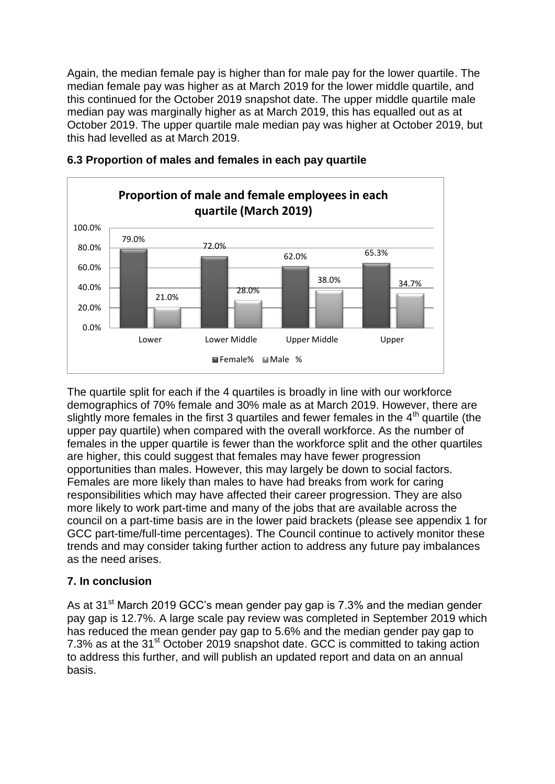Again, the median female pay is higher than for male pay for the lower quartile. The median female pay was higher as at March 2019 for the lower middle quartile, and this continued for the October 2019 snapshot date. The upper middle quartile male median pay was marginally higher as at March 2019, this has equalled out as at October 2019. The upper quartile male median pay was higher at October 2019, but this had levelled as at March 2019.



#### **6.3 Proportion of males and females in each pay quartile**

The quartile split for each if the 4 quartiles is broadly in line with our workforce demographics of 70% female and 30% male as at March 2019. However, there are slightly more females in the first 3 quartiles and fewer females in the  $4<sup>th</sup>$  quartile (the upper pay quartile) when compared with the overall workforce. As the number of females in the upper quartile is fewer than the workforce split and the other quartiles are higher, this could suggest that females may have fewer progression opportunities than males. However, this may largely be down to social factors. Females are more likely than males to have had breaks from work for caring responsibilities which may have affected their career progression. They are also more likely to work part-time and many of the jobs that are available across the council on a part-time basis are in the lower paid brackets (please see appendix 1 for GCC part-time/full-time percentages). The Council continue to actively monitor these trends and may consider taking further action to address any future pay imbalances as the need arises.

### **7. In conclusion**

As at 31<sup>st</sup> March 2019 GCC's mean gender pay gap is 7.3% and the median gender pay gap is 12.7%. A large scale pay review was completed in September 2019 which has reduced the mean gender pay gap to 5.6% and the median gender pay gap to 7.3% as at the 31<sup>st</sup> October 2019 snapshot date. GCC is committed to taking action to address this further, and will publish an updated report and data on an annual basis.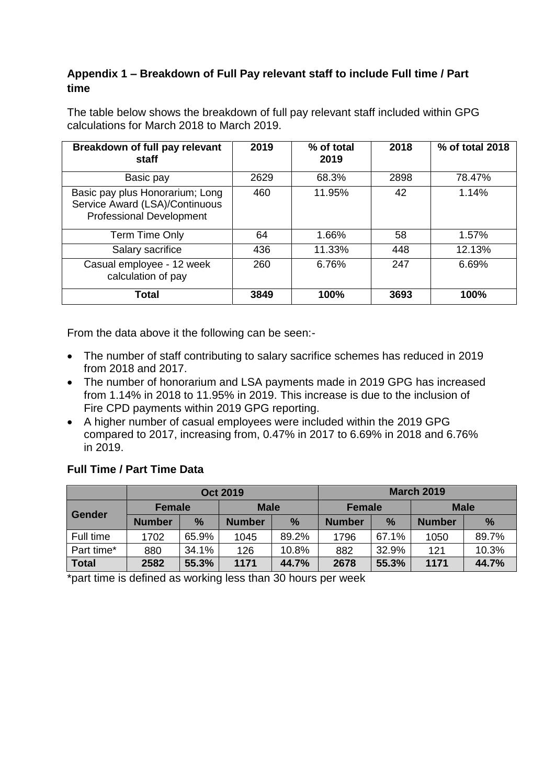# **Appendix 1 – Breakdown of Full Pay relevant staff to include Full time / Part time**

**Breakdown of full pay relevant staff 2019 % of total 2019 2018 % of total 2018** Basic pay 12629 68.3% 2898 78.47% Basic pay plus Honorarium; Long Service Award (LSA)/Continuous Professional Development 460 11.95% 42 1.14% Term Time Only  $\begin{array}{|c|c|c|c|c|c|c|c|c|} \hline \end{array}$  64 | 1.66% | 58 | 1.57% Salary sacrifice 1436 11.33% 448 12.13% Casual employee - 12 week calculation of pay 260 6.76% 247 6.69% **Total 3849 100% 3693 100%**

The table below shows the breakdown of full pay relevant staff included within GPG calculations for March 2018 to March 2019.

From the data above it the following can be seen:-

- The number of staff contributing to salary sacrifice schemes has reduced in 2019 from 2018 and 2017.
- The number of honorarium and LSA payments made in 2019 GPG has increased from 1.14% in 2018 to 11.95% in 2019. This increase is due to the inclusion of Fire CPD payments within 2019 GPG reporting.
- A higher number of casual employees were included within the 2019 GPG compared to 2017, increasing from, 0.47% in 2017 to 6.69% in 2018 and 6.76% in 2019.

# **Full Time / Part Time Data**

|               | <b>Oct 2019</b> |       |               |               | <b>March 2019</b> |               |               |               |
|---------------|-----------------|-------|---------------|---------------|-------------------|---------------|---------------|---------------|
| <b>Gender</b> | <b>Female</b>   |       | <b>Male</b>   |               | <b>Female</b>     |               | <b>Male</b>   |               |
|               | <b>Number</b>   | $\%$  | <b>Number</b> | $\frac{9}{6}$ | <b>Number</b>     | $\frac{9}{6}$ | <b>Number</b> | $\frac{9}{6}$ |
| Full time     | 1702            | 65.9% | 1045          | 89.2%         | 1796              | 67.1%         | 1050          | 89.7%         |
| Part time*    | 880             | 34.1% | 126           | 10.8%         | 882               | 32.9%         | 121           | 10.3%         |
| <b>Total</b>  | 2582            | 55.3% | 1171          | 44.7%         | 2678              | 55.3%         | 1171          | 44.7%         |

\*part time is defined as working less than 30 hours per week